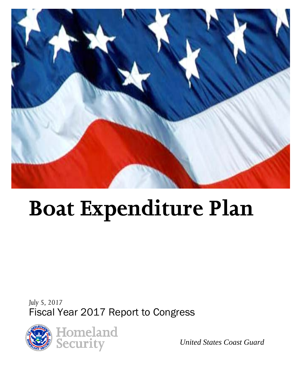

# **Boat Expenditure Plan**

*July 5, 2017* Fiscal Year 2017 Report to Congress



*United States Coast Guard*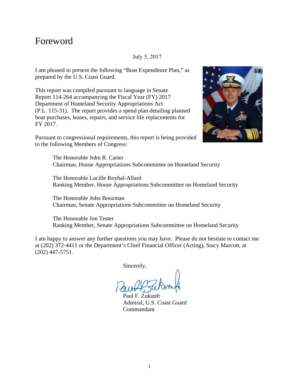### Foreword

#### July 5, 2017

I am pleased to present the following "Boat Expenditure Plan," as prepared by the U.S. Coast Guard.

This report was compiled pursuant to language in Senate Report 114-264 accompanying the Fiscal Year (FY) 2017 Department of Homeland Security Appropriations Act (P.L. 115-31). The report provides a spend plan detailing planned boat purchases, leases, repairs, and service life replacements for FY 2017.



Pursuant to congressional requirements, this report is being provided to the following Members of Congress:

> The Honorable John R. Carter Chairman, House Appropriations Subcommittee on Homeland Security

The Honorable Lucille Roybal-Allard Ranking Member, House Appropriations Subcommittee on Homeland Security

The Honorable John Boozman Chairman, Senate Appropriations Subcommittee on Homeland Security

The Honorable Jon Tester Ranking Member, Senate Appropriations Subcommittee on Homeland Security

I am happy to answer any further questions you may have. Please do not hesitate to contact me at (202) 372-4411 or the Department's Chief Financial Officer (Acting), Stacy Marcott, at (202) 447-5751.

Sincerely,

Paul F. Zukunft Admiral, U.S. Coast Guard Commandant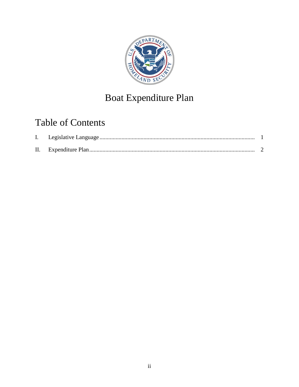

# Boat Expenditure Plan

# **Table of Contents**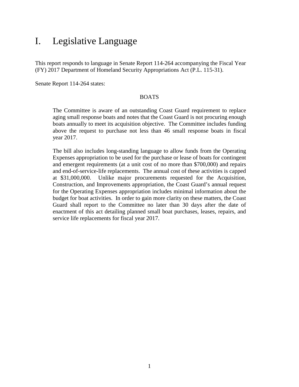## <span id="page-3-0"></span>I. Legislative Language

This report responds to language in Senate Report 114-264 accompanying the Fiscal Year (FY) 2017 Department of Homeland Security Appropriations Act (P.L. 115-31).

Senate Report 114-264 states:

#### BOATS

The Committee is aware of an outstanding Coast Guard requirement to replace aging small response boats and notes that the Coast Guard is not procuring enough boats annually to meet its acquisition objective. The Committee includes funding above the request to purchase not less than 46 small response boats in fiscal year 2017.

The bill also includes long-standing language to allow funds from the Operating Expenses appropriation to be used for the purchase or lease of boats for contingent and emergent requirements (at a unit cost of no more than \$700,000) and repairs and end-of-service-life replacements. The annual cost of these activities is capped at \$31,000,000. Unlike major procurements requested for the Acquisition, Construction, and Improvements appropriation, the Coast Guard's annual request for the Operating Expenses appropriation includes minimal information about the budget for boat activities. In order to gain more clarity on these matters, the Coast Guard shall report to the Committee no later than 30 days after the date of enactment of this act detailing planned small boat purchases, leases, repairs, and service life replacements for fiscal year 2017.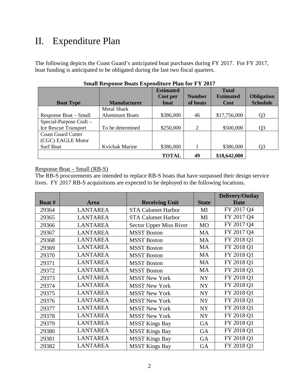## <span id="page-4-0"></span>II. Expenditure Plan

The following depicts the Coast Guard's anticipated boat purchases during FY 2017. For FY 2017, boat funding is anticipated to be obligated during the last two fiscal quarters.

|                           |                       | <b>Estimated</b> |               |                  |                   |
|---------------------------|-----------------------|------------------|---------------|------------------|-------------------|
|                           |                       | Cost per         | <b>Number</b> | <b>Estimated</b> | <b>Obligation</b> |
| <b>Boat Type</b>          | <b>Manufacturer</b>   | boat             | of boats      | <b>Cost</b>      | <b>Schedule</b>   |
|                           | <b>Metal Shark</b>    |                  |               |                  |                   |
| Response Boat – Small     | <b>Aluminum Boats</b> | \$386,000        | 46            | \$17,756,000     | Q <sub>3</sub>    |
| Special-Purpose Craft -   |                       |                  |               |                  |                   |
| Ice Rescue Transport      | To be determined      | \$250,000        | 2             | \$500,000        | Q3                |
| <b>Coast Guard Cutter</b> |                       |                  |               |                  |                   |
| (CGC) EAGLE Motor         |                       |                  |               |                  |                   |
| <b>Surf Boat</b>          | Kvichak Marine        | \$386,000        |               | \$386,000        | Q3                |
|                           |                       | <b>TOTAL</b>     | 49            | \$18,642,000     |                   |

#### **Small Response Boats Expenditure Plan for FY 2017**

#### Response Boat – Small (RB-S)

The RB-S procurements are intended to replace RB-S boats that have surpassed their design service lives. FY 2017 RB-S acquisitions are expected to be deployed to the following locations.

|        |                 |                           |              | Delivery/Outlay |
|--------|-----------------|---------------------------|--------------|-----------------|
| Boat # | <b>Area</b>     | <b>Receiving Unit</b>     | <b>State</b> | <b>Date</b>     |
| 29364  | <b>LANTAREA</b> | <b>STA Calumet Harbor</b> | MI           | FY 2017 Q4      |
| 29365  | <b>LANTAREA</b> | <b>STA Calumet Harbor</b> | MI           | FY 2017 Q4      |
| 29366  | <b>LANTAREA</b> | Sector Upper Miss River   | <b>MO</b>    | FY 2017 Q4      |
| 29367  | <b>LANTAREA</b> | <b>MSST Boston</b>        | <b>MA</b>    | FY 2017 Q4      |
| 29368  | <b>LANTAREA</b> | <b>MSST Boston</b>        | <b>MA</b>    | FY 2018 Q1      |
| 29369  | <b>LANTAREA</b> | <b>MSST Boston</b>        | <b>MA</b>    | FY 2018 Q1      |
| 29370  | <b>LANTAREA</b> | <b>MSST Boston</b>        | <b>MA</b>    | FY 2018 Q1      |
| 29371  | <b>LANTAREA</b> | <b>MSST Boston</b>        | <b>MA</b>    | FY 2018 Q1      |
| 29372  | <b>LANTAREA</b> | <b>MSST Boston</b>        | MA           | FY 2018 Q1      |
| 29373  | <b>LANTAREA</b> | <b>MSST New York</b>      | <b>NY</b>    | FY 2018 Q1      |
| 29374  | <b>LANTAREA</b> | <b>MSST New York</b>      | <b>NY</b>    | FY 2018 Q1      |
| 29375  | <b>LANTAREA</b> | <b>MSST New York</b>      | <b>NY</b>    | FY 2018 Q1      |
| 29376  | <b>LANTAREA</b> | <b>MSST New York</b>      | NY           | FY 2018 Q1      |
| 29377  | <b>LANTAREA</b> | <b>MSST New York</b>      | <b>NY</b>    | FY 2018 Q1      |
| 29378  | <b>LANTAREA</b> | <b>MSST New York</b>      | <b>NY</b>    | FY 2018 Q1      |
| 29379  | <b>LANTAREA</b> | <b>MSST Kings Bay</b>     | <b>GA</b>    | FY 2018 Q1      |
| 29380  | <b>LANTAREA</b> | <b>MSST Kings Bay</b>     | <b>GA</b>    | FY 2018 Q1      |
| 29381  | <b>LANTAREA</b> | <b>MSST Kings Bay</b>     | <b>GA</b>    | FY 2018 Q1      |
| 29382  | <b>LANTAREA</b> | <b>MSST Kings Bay</b>     | <b>GA</b>    | FY 2018 Q1      |